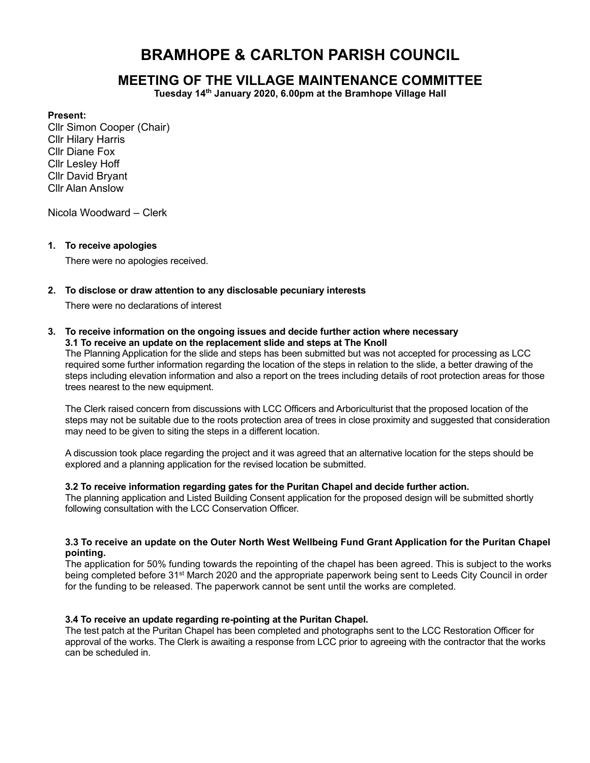# BRAMHOPE & CARLTON PARISH COUNCIL

# MEETING OF THE VILLAGE MAINTENANCE COMMITTEE

Tuesday 14th January 2020, 6.00pm at the Bramhope Village Hall

#### Present:

Cllr Simon Cooper (Chair) Cllr Hilary Harris Cllr Diane Fox Cllr Lesley Hoff Cllr David Bryant Cllr Alan Anslow

Nicola Woodward – Clerk

#### 1. To receive apologies

There were no apologies received.

#### 2. To disclose or draw attention to any disclosable pecuniary interests

There were no declarations of interest

#### 3. To receive information on the ongoing issues and decide further action where necessary 3.1 To receive an update on the replacement slide and steps at The Knoll

The Planning Application for the slide and steps has been submitted but was not accepted for processing as LCC required some further information regarding the location of the steps in relation to the slide, a better drawing of the steps including elevation information and also a report on the trees including details of root protection areas for those trees nearest to the new equipment.

The Clerk raised concern from discussions with LCC Officers and Arboriculturist that the proposed location of the steps may not be suitable due to the roots protection area of trees in close proximity and suggested that consideration may need to be given to siting the steps in a different location.

A discussion took place regarding the project and it was agreed that an alternative location for the steps should be explored and a planning application for the revised location be submitted.

#### 3.2 To receive information regarding gates for the Puritan Chapel and decide further action.

The planning application and Listed Building Consent application for the proposed design will be submitted shortly following consultation with the LCC Conservation Officer.

#### 3.3 To receive an update on the Outer North West Wellbeing Fund Grant Application for the Puritan Chapel pointing.

The application for 50% funding towards the repointing of the chapel has been agreed. This is subject to the works being completed before 31st March 2020 and the appropriate paperwork being sent to Leeds City Council in order for the funding to be released. The paperwork cannot be sent until the works are completed.

### 3.4 To receive an update regarding re-pointing at the Puritan Chapel.

The test patch at the Puritan Chapel has been completed and photographs sent to the LCC Restoration Officer for approval of the works. The Clerk is awaiting a response from LCC prior to agreeing with the contractor that the works can be scheduled in.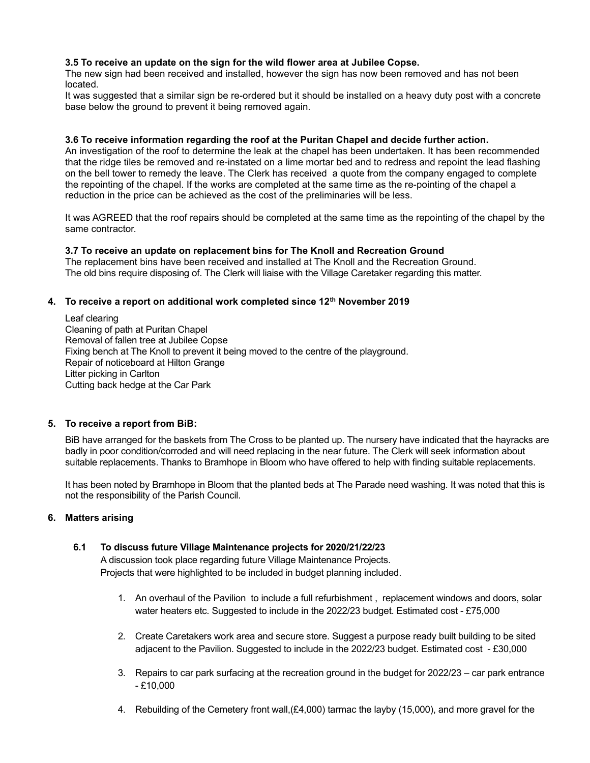#### 3.5 To receive an update on the sign for the wild flower area at Jubilee Copse.

The new sign had been received and installed, however the sign has now been removed and has not been located.

It was suggested that a similar sign be re-ordered but it should be installed on a heavy duty post with a concrete base below the ground to prevent it being removed again.

#### 3.6 To receive information regarding the roof at the Puritan Chapel and decide further action.

An investigation of the roof to determine the leak at the chapel has been undertaken. It has been recommended that the ridge tiles be removed and re-instated on a lime mortar bed and to redress and repoint the lead flashing on the bell tower to remedy the leave. The Clerk has received a quote from the company engaged to complete the repointing of the chapel. If the works are completed at the same time as the re-pointing of the chapel a reduction in the price can be achieved as the cost of the preliminaries will be less.

It was AGREED that the roof repairs should be completed at the same time as the repointing of the chapel by the same contractor.

#### 3.7 To receive an update on replacement bins for The Knoll and Recreation Ground

The replacement bins have been received and installed at The Knoll and the Recreation Ground. The old bins require disposing of. The Clerk will liaise with the Village Caretaker regarding this matter.

#### 4. To receive a report on additional work completed since 12<sup>th</sup> November 2019

Leaf clearing Cleaning of path at Puritan Chapel Removal of fallen tree at Jubilee Copse Fixing bench at The Knoll to prevent it being moved to the centre of the playground. Repair of noticeboard at Hilton Grange Litter picking in Carlton Cutting back hedge at the Car Park

# 5. To receive a report from BiB:

BiB have arranged for the baskets from The Cross to be planted up. The nursery have indicated that the hayracks are badly in poor condition/corroded and will need replacing in the near future. The Clerk will seek information about suitable replacements. Thanks to Bramhope in Bloom who have offered to help with finding suitable replacements.

It has been noted by Bramhope in Bloom that the planted beds at The Parade need washing. It was noted that this is not the responsibility of the Parish Council.

#### 6. Matters arising

# 6.1 To discuss future Village Maintenance projects for 2020/21/22/23

A discussion took place regarding future Village Maintenance Projects. Projects that were highlighted to be included in budget planning included.

- 1. An overhaul of the Pavilion to include a full refurbishment , replacement windows and doors, solar water heaters etc. Suggested to include in the 2022/23 budget. Estimated cost - £75,000
- 2. Create Caretakers work area and secure store. Suggest a purpose ready built building to be sited adjacent to the Pavilion. Suggested to include in the 2022/23 budget. Estimated cost - £30,000
- 3. Repairs to car park surfacing at the recreation ground in the budget for 2022/23 car park entrance  $-£10,000$
- 4. Rebuilding of the Cemetery front wall,(£4,000) tarmac the layby (15,000), and more gravel for the